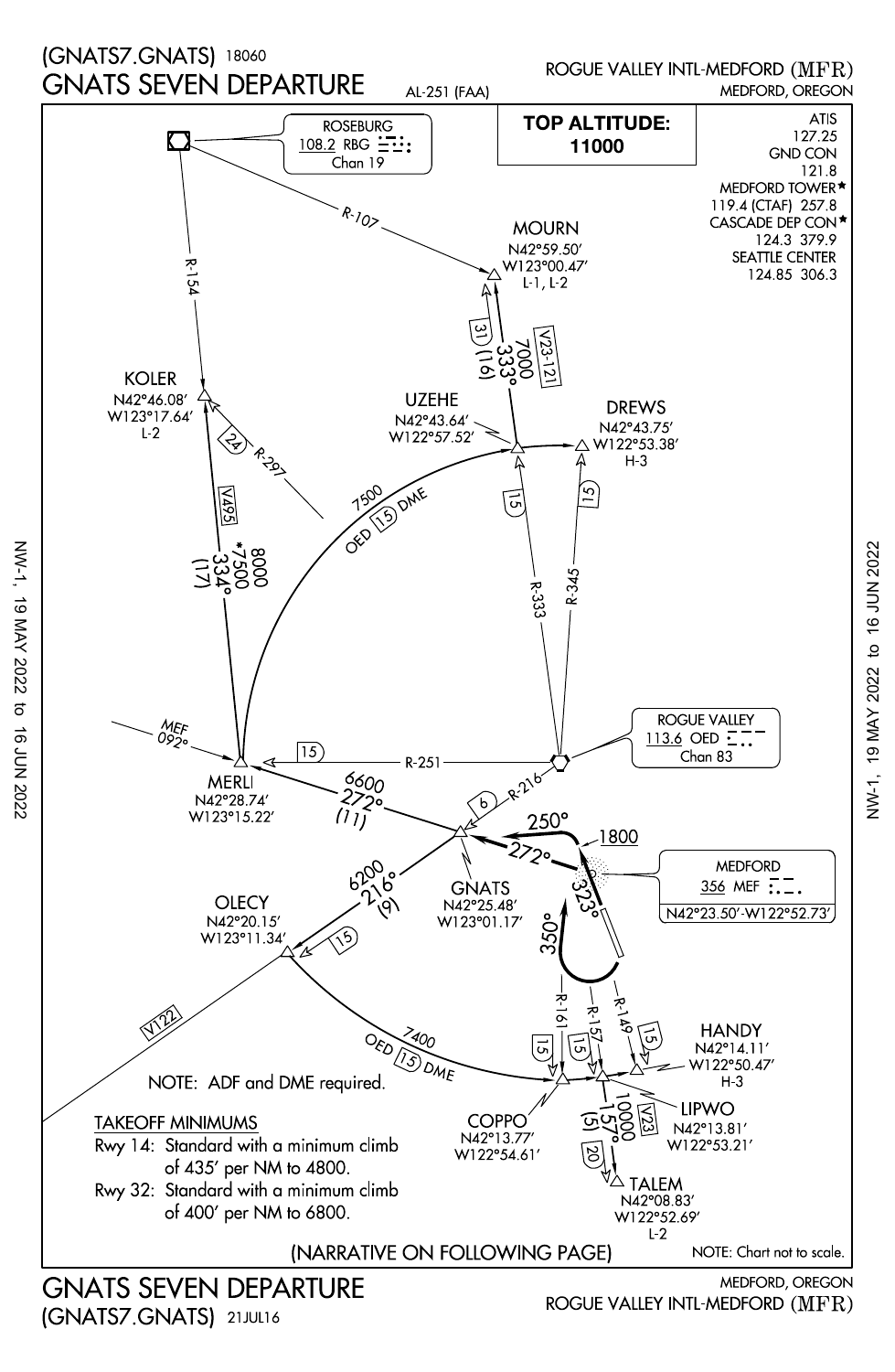

VW-1, 19 MAY 2022 to 16 JUN 2022 NW-1, 19 MAY 2022 to 16 JUN 2022

(GNATS7.GNATS) 21JUL16

NW-1, 19 MAY 2022 to 16 JUN 2022

 $\frac{1}{\sigma}$ 

16 JUN 2022

19 MAY 2022

**NW-1**,